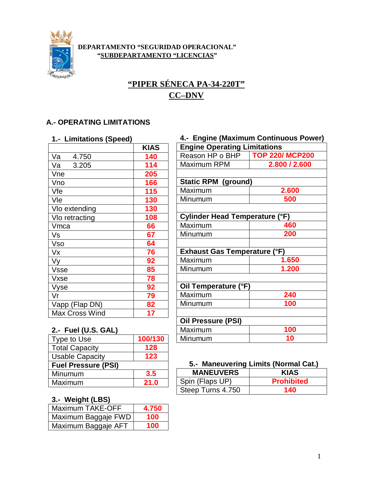

#### **DEPARTAMENTO "SEGURIDAD OPERACIONAL" "SUBDEPARTAMENTO "LICENCIAS"**

# **"PIPER SÉNECA PA-34-220T" CC–DNV**

## **A.- OPERATING LIMITATIONS**

#### **1.- Limitations (Speed)**

|                       | <b>KIAS</b> |
|-----------------------|-------------|
| Va<br>4.750           | 140         |
| 3.205<br>Va           | 114         |
| Vne                   | 205         |
| Vno                   | 166         |
| Vfe                   | 115         |
| Vle                   | 130         |
| Vlo extending         | 130         |
| VIo retracting        | 108         |
| Vmca                  | 66          |
| Vs                    | 67          |
| Vso                   | 64          |
| Vx                    | 76          |
| Vy                    | 92          |
| <b>Vsse</b>           | 85          |
| Vxse                  | 78          |
| Vyse                  | 92          |
| Vr                    | 79          |
| Vapp (Flap DN)        | 82          |
| <b>Max Cross Wind</b> | 17          |

# **4.- Engine (Maximum Continuous Power) Engine Operating Limitations** Reason HP o BHP **TOP 220/ MCP200** Maximum RPM **2.800 / 2.600 Static RPM (ground)**  Maximum **2.600** Minumum **500 Cylinder Head Temperature (°F)** Maximum **460** Minumum **200 Exhaust Gas Temperature (°F)** Maximum **1.650** Minumum **1.200 Oil Temperature (°F)** Maximum **240** Minumum **100 Oil Pressure (PSI)** Maximum **100** Minumum **10**

### **2.- Fuel (U.S. GAL)**

| Type to Use                | 100/130 |
|----------------------------|---------|
| <b>Total Capacity</b>      | 128     |
| <b>Usable Capacity</b>     | 123     |
| <b>Fuel Pressure (PSI)</b> |         |
| Minumum                    | 3.5     |
| Maximum                    | 21.0    |
|                            |         |

## **3.- Weight (LBS)**

| Maximum TAKE-OFF    | 4.750 |
|---------------------|-------|
| Maximum Baggaje FWD | 100   |
| Maximum Baggaje AFT | 100   |

### **5.- Maneuvering Limits (Normal Cat.)**

| <b>MANEUVERS</b>  | <b>KIAS</b>       |
|-------------------|-------------------|
| Spin (Flaps UP)   | <b>Prohibited</b> |
| Steep Turns 4.750 | 140               |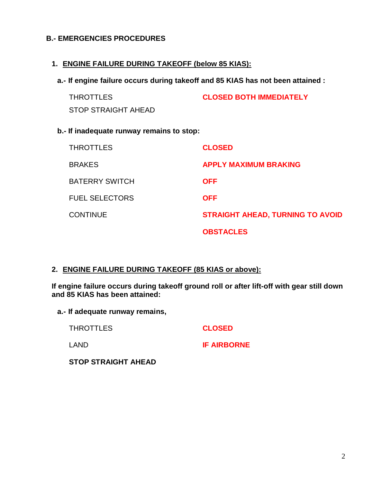## **B.- EMERGENCIES PROCEDURES**

### **1. ENGINE FAILURE DURING TAKEOFF (below 85 KIAS):**

**a.- If engine failure occurs during takeoff and 85 KIAS has not been attained :**

| THROTTLES           | <b>CLOSED BOTH IMMEDIATELY</b> |
|---------------------|--------------------------------|
| STOP STRAIGHT AHEAD |                                |

## **b.- If inadequate runway remains to stop:**

| <b>THROTTLES</b>      | <b>CLOSED</b>                           |
|-----------------------|-----------------------------------------|
| <b>BRAKES</b>         | <b>APPLY MAXIMUM BRAKING</b>            |
| <b>BATERRY SWITCH</b> | <b>OFF</b>                              |
| <b>FUEL SELECTORS</b> | <b>OFF</b>                              |
| <b>CONTINUE</b>       | <b>STRAIGHT AHEAD, TURNING TO AVOID</b> |
|                       | <b>OBSTACLES</b>                        |

#### **2. ENGINE FAILURE DURING TAKEOFF (85 KIAS or above):**

**If engine failure occurs during takeoff ground roll or after lift-off with gear still down and 85 KIAS has been attained:**

**a.- If adequate runway remains,** 

THROTTLES **CLOSED** LAND **IF AIRBORNE**

**STOP STRAIGHT AHEAD**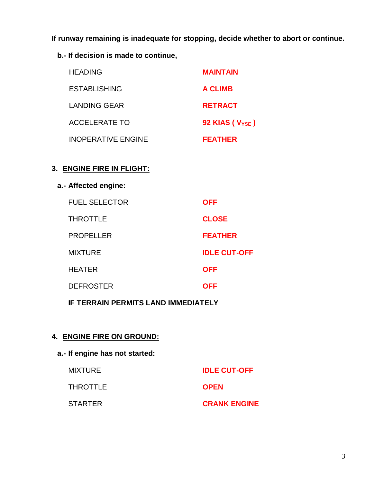**If runway remaining is inadequate for stopping, decide whether to abort or continue.**

**b.- If decision is made to continue,**

| <b>HEADING</b>            | <b>MAINTAIN</b>              |
|---------------------------|------------------------------|
| <b>ESTABLISHING</b>       | <b>A CLIMB</b>               |
| <b>LANDING GEAR</b>       | <b>RETRACT</b>               |
| <b>ACCELERATE TO</b>      | 92 KIAS ( $V_{\text{YSE}}$ ) |
| <b>INOPERATIVE ENGINE</b> | <b>FEATHER</b>               |

## **3. ENGINE FIRE IN FLIGHT:**

# **a.- Affected engine:**

| <b>FUEL SELECTOR</b> | <b>OFF</b>          |
|----------------------|---------------------|
| THROTTLE             | <b>CLOSE</b>        |
| <b>PROPELLER</b>     | <b>FEATHER</b>      |
| <b>MIXTURE</b>       | <b>IDLE CUT-OFF</b> |
| HEATER               | <b>OFF</b>          |
| <b>DEFROSTER</b>     | <b>OFF</b>          |
|                      |                     |

**IF TERRAIN PERMITS LAND IMMEDIATELY**

# **4. ENGINE FIRE ON GROUND:**

# **a.- If engine has not started:**

| MIXTURE  | <b>IDLE CUT-OFF</b> |
|----------|---------------------|
| THROTTLE | <b>OPEN</b>         |
| STARTER  | <b>CRANK ENGINE</b> |